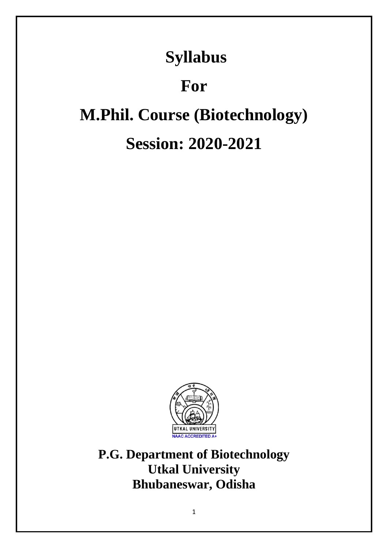# **Syllabus**

# **For**

# **M.Phil. Course (Biotechnology)**

# **Session: 2020-2021**



**P.G. Department of Biotechnology Utkal University Bhubaneswar, Odisha**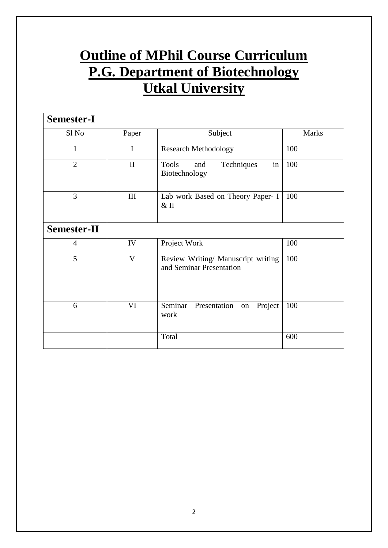# **Outline of MPhil Course Curriculum P.G. Department of Biotechnology Utkal University**

| <b>Semester-I</b>  |              |                                                                |              |
|--------------------|--------------|----------------------------------------------------------------|--------------|
| Sl No              | Paper        | Subject                                                        | <b>Marks</b> |
| 1                  | $\mathbf I$  | <b>Research Methodology</b>                                    | 100          |
| $\overline{2}$     | $\mathbf{I}$ | Techniques<br>in<br><b>Tools</b><br>and<br>Biotechnology       | 100          |
| 3                  | $\rm III$    | Lab work Based on Theory Paper- I<br>$&$ II                    | 100          |
| <b>Semester-II</b> |              |                                                                |              |
| 4                  | IV           | Project Work                                                   | 100          |
| 5                  | $\mathbf{V}$ | Review Writing/ Manuscript writing<br>and Seminar Presentation | 100          |
| 6                  | VI           | Seminar<br>Presentation<br>Project<br>on<br>work               | 100          |
|                    |              | Total                                                          | 600          |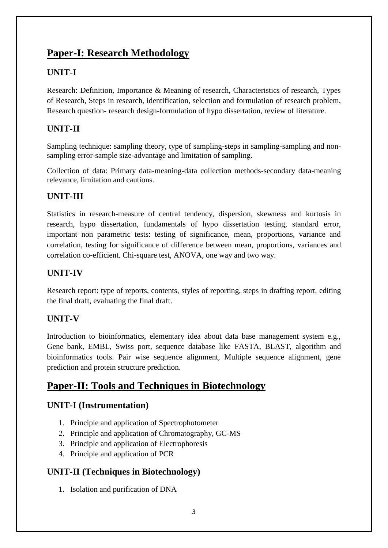# **Paper-I: Research Methodology**

# **UNIT-I**

Research: Definition, Importance & Meaning of research, Characteristics of research, Types of Research, Steps in research, identification, selection and formulation of research problem, Research question- research design-formulation of hypo dissertation, review of literature.

# **UNIT-II**

Sampling technique: sampling theory, type of sampling-steps in sampling-sampling and nonsampling error-sample size-advantage and limitation of sampling.

Collection of data: Primary data-meaning-data collection methods-secondary data-meaning relevance, limitation and cautions.

# **UNIT-III**

Statistics in research-measure of central tendency, dispersion, skewness and kurtosis in research, hypo dissertation, fundamentals of hypo dissertation testing, standard error, important non parametric tests: testing of significance, mean, proportions, variance and correlation, testing for significance of difference between mean, proportions, variances and correlation co-efficient. Chi-square test, ANOVA, one way and two way.

# **UNIT-IV**

Research report: type of reports, contents, styles of reporting, steps in drafting report, editing the final draft, evaluating the final draft.

### **UNIT-V**

Introduction to bioinformatics, elementary idea about data base management system e.g., Gene bank, EMBL, Swiss port, sequence database like FASTA, BLAST, algorithm and bioinformatics tools. Pair wise sequence alignment, Multiple sequence alignment, gene prediction and protein structure prediction.

# **Paper-II: Tools and Techniques in Biotechnology**

# **UNIT-I (Instrumentation)**

- 1. Principle and application of Spectrophotometer
- 2. Principle and application of Chromatography, GC-MS
- 3. Principle and application of Electrophoresis
- 4. Principle and application of PCR

# **UNIT-II (Techniques in Biotechnology)**

1. Isolation and purification of DNA